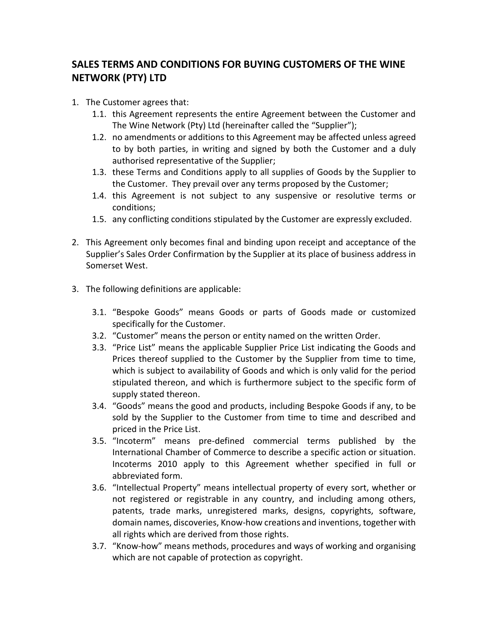## **SALES TERMS AND CONDITIONS FOR BUYING CUSTOMERS OF THE WINE NETWORK (PTY) LTD**

- 1. The Customer agrees that:
	- 1.1. this Agreement represents the entire Agreement between the Customer and The Wine Network (Pty) Ltd (hereinafter called the "Supplier");
	- 1.2. no amendments or additions to this Agreement may be affected unless agreed to by both parties, in writing and signed by both the Customer and a duly authorised representative of the Supplier;
	- 1.3. these Terms and Conditions apply to all supplies of Goods by the Supplier to the Customer. They prevail over any terms proposed by the Customer;
	- 1.4. this Agreement is not subject to any suspensive or resolutive terms or conditions;
	- 1.5. any conflicting conditions stipulated by the Customer are expressly excluded.
- 2. This Agreement only becomes final and binding upon receipt and acceptance of the Supplier's Sales Order Confirmation by the Supplier at its place of business address in Somerset West.
- 3. The following definitions are applicable:
	- 3.1. "Bespoke Goods" means Goods or parts of Goods made or customized specifically for the Customer.
	- 3.2. "Customer" means the person or entity named on the written Order.
	- 3.3. "Price List" means the applicable Supplier Price List indicating the Goods and Prices thereof supplied to the Customer by the Supplier from time to time, which is subject to availability of Goods and which is only valid for the period stipulated thereon, and which is furthermore subject to the specific form of supply stated thereon.
	- 3.4. "Goods" means the good and products, including Bespoke Goods if any, to be sold by the Supplier to the Customer from time to time and described and priced in the Price List.
	- 3.5. "Incoterm" means pre-defined commercial terms published by the International Chamber of Commerce to describe a specific action or situation. Incoterms 2010 apply to this Agreement whether specified in full or abbreviated form.
	- 3.6. "Intellectual Property" means intellectual property of every sort, whether or not registered or registrable in any country, and including among others, patents, trade marks, unregistered marks, designs, copyrights, software, domain names, discoveries, Know-how creations and inventions, together with all rights which are derived from those rights.
	- 3.7. "Know-how" means methods, procedures and ways of working and organising which are not capable of protection as copyright.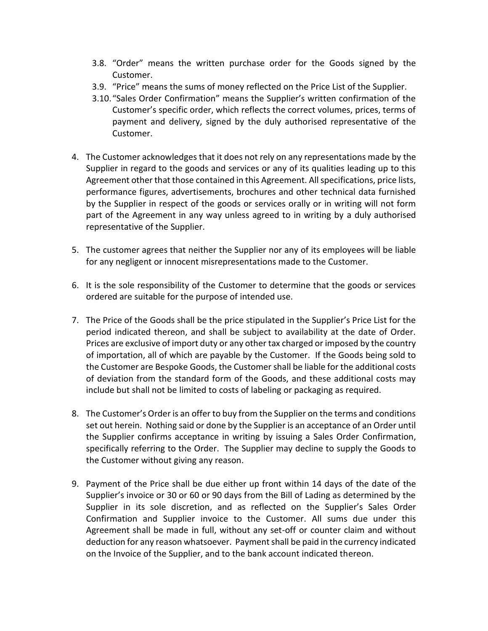- 3.8. "Order" means the written purchase order for the Goods signed by the Customer.
- 3.9. "Price" means the sums of money reflected on the Price List of the Supplier.
- 3.10."Sales Order Confirmation" means the Supplier's written confirmation of the Customer's specific order, which reflects the correct volumes, prices, terms of payment and delivery, signed by the duly authorised representative of the Customer.
- 4. The Customer acknowledges that it does not rely on any representations made by the Supplier in regard to the goods and services or any of its qualities leading up to this Agreement other that those contained in this Agreement. All specifications, price lists, performance figures, advertisements, brochures and other technical data furnished by the Supplier in respect of the goods or services orally or in writing will not form part of the Agreement in any way unless agreed to in writing by a duly authorised representative of the Supplier.
- 5. The customer agrees that neither the Supplier nor any of its employees will be liable for any negligent or innocent misrepresentations made to the Customer.
- 6. It is the sole responsibility of the Customer to determine that the goods or services ordered are suitable for the purpose of intended use.
- 7. The Price of the Goods shall be the price stipulated in the Supplier's Price List for the period indicated thereon, and shall be subject to availability at the date of Order. Prices are exclusive of import duty or any other tax charged or imposed by the country of importation, all of which are payable by the Customer. If the Goods being sold to the Customer are Bespoke Goods, the Customer shall be liable for the additional costs of deviation from the standard form of the Goods, and these additional costs may include but shall not be limited to costs of labeling or packaging as required.
- 8. The Customer's Order is an offer to buy from the Supplier on the terms and conditions set out herein. Nothing said or done by the Supplier is an acceptance of an Order until the Supplier confirms acceptance in writing by issuing a Sales Order Confirmation, specifically referring to the Order. The Supplier may decline to supply the Goods to the Customer without giving any reason.
- 9. Payment of the Price shall be due either up front within 14 days of the date of the Supplier's invoice or 30 or 60 or 90 days from the Bill of Lading as determined by the Supplier in its sole discretion, and as reflected on the Supplier's Sales Order Confirmation and Supplier invoice to the Customer. All sums due under this Agreement shall be made in full, without any set-off or counter claim and without deduction for any reason whatsoever. Payment shall be paid in the currency indicated on the Invoice of the Supplier, and to the bank account indicated thereon.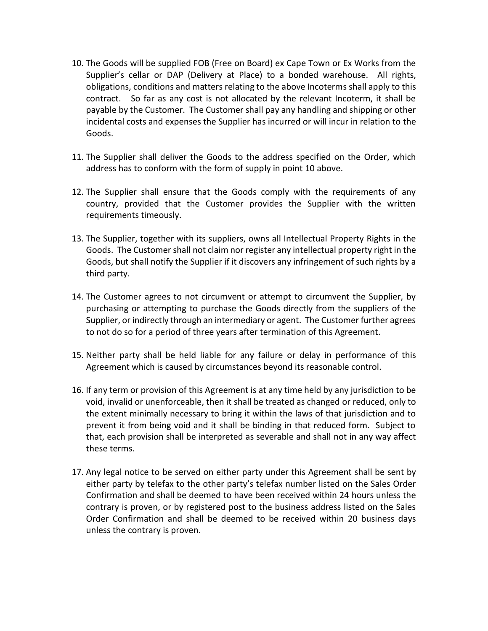- 10. The Goods will be supplied FOB (Free on Board) ex Cape Town or Ex Works from the Supplier's cellar or DAP (Delivery at Place) to a bonded warehouse. All rights, obligations, conditions and matters relating to the above Incoterms shall apply to this contract. So far as any cost is not allocated by the relevant Incoterm, it shall be payable by the Customer. The Customer shall pay any handling and shipping or other incidental costs and expenses the Supplier has incurred or will incur in relation to the Goods.
- 11. The Supplier shall deliver the Goods to the address specified on the Order, which address has to conform with the form of supply in point 10 above.
- 12. The Supplier shall ensure that the Goods comply with the requirements of any country, provided that the Customer provides the Supplier with the written requirements timeously.
- 13. The Supplier, together with its suppliers, owns all Intellectual Property Rights in the Goods. The Customer shall not claim nor register any intellectual property right in the Goods, but shall notify the Supplier if it discovers any infringement of such rights by a third party.
- 14. The Customer agrees to not circumvent or attempt to circumvent the Supplier, by purchasing or attempting to purchase the Goods directly from the suppliers of the Supplier, or indirectly through an intermediary or agent. The Customer further agrees to not do so for a period of three years after termination of this Agreement.
- 15. Neither party shall be held liable for any failure or delay in performance of this Agreement which is caused by circumstances beyond its reasonable control.
- 16. If any term or provision of this Agreement is at any time held by any jurisdiction to be void, invalid or unenforceable, then it shall be treated as changed or reduced, only to the extent minimally necessary to bring it within the laws of that jurisdiction and to prevent it from being void and it shall be binding in that reduced form. Subject to that, each provision shall be interpreted as severable and shall not in any way affect these terms.
- 17. Any legal notice to be served on either party under this Agreement shall be sent by either party by telefax to the other party's telefax number listed on the Sales Order Confirmation and shall be deemed to have been received within 24 hours unless the contrary is proven, or by registered post to the business address listed on the Sales Order Confirmation and shall be deemed to be received within 20 business days unless the contrary is proven.